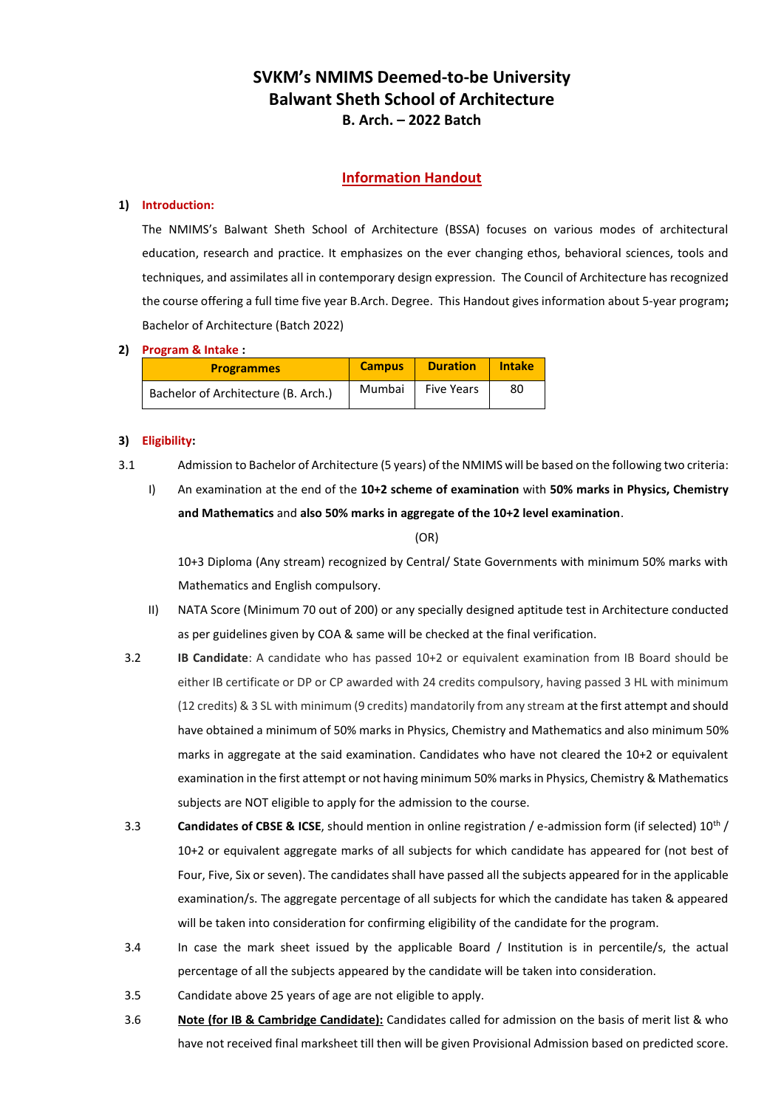# **SVKM's NMIMS Deemed-to-be University Balwant Sheth School of Architecture B. Arch. – 2022 Batch**

# **Information Handout**

# **1) Introduction:**

The NMIMS's Balwant Sheth School of Architecture (BSSA) focuses on various modes of architectural education, research and practice. It emphasizes on the ever changing ethos, behavioral sciences, tools and techniques, and assimilates all in contemporary design expression. The Council of Architecture has recognized the course offering a full time five year B.Arch. Degree. This Handout gives information about 5-year program**;**  Bachelor of Architecture (Batch 2022)

# **2) Program & Intake :**

| <b>Programmes</b>                   | <b>Campus</b> | <b>Duration</b>   | <b>Intake</b> |
|-------------------------------------|---------------|-------------------|---------------|
| Bachelor of Architecture (B. Arch.) | Mumbai        | <b>Five Years</b> | 80            |

# **3) Eligibility:**

3.1 Admission to Bachelor of Architecture (5 years) of the NMIMS will be based on the following two criteria:

I) An examination at the end of the **10+2 scheme of examination** with **50% marks in Physics, Chemistry and Mathematics** and **also 50% marks in aggregate of the 10+2 level examination**.

#### (OR)

10+3 Diploma (Any stream) recognized by Central/ State Governments with minimum 50% marks with Mathematics and English compulsory.

- II) NATA Score (Minimum 70 out of 200) or any specially designed aptitude test in Architecture conducted as per guidelines given by COA & same will be checked at the final verification.
- 3.2 **IB Candidate**: A candidate who has passed 10+2 or equivalent examination from IB Board should be either IB certificate or DP or CP awarded with 24 credits compulsory, having passed 3 HL with minimum (12 credits) & 3 SL with minimum (9 credits) mandatorily from any stream at the first attempt and should have obtained a minimum of 50% marks in Physics, Chemistry and Mathematics and also minimum 50% marks in aggregate at the said examination. Candidates who have not cleared the 10+2 or equivalent examination in the first attempt or not having minimum 50% marks in Physics, Chemistry & Mathematics subjects are NOT eligible to apply for the admission to the course.
- 3.3 **Candidates of CBSE & ICSE**, should mention in online registration / e-admission form (if selected) 10th / 10+2 or equivalent aggregate marks of all subjects for which candidate has appeared for (not best of Four, Five, Six or seven). The candidates shall have passed all the subjects appeared for in the applicable examination/s. The aggregate percentage of all subjects for which the candidate has taken & appeared will be taken into consideration for confirming eligibility of the candidate for the program.
- 3.4 In case the mark sheet issued by the applicable Board / Institution is in percentile/s, the actual percentage of all the subjects appeared by the candidate will be taken into consideration.
- 3.5 Candidate above 25 years of age are not eligible to apply.
- 3.6 **Note (for IB & Cambridge Candidate):** Candidates called for admission on the basis of merit list & who have not received final marksheet till then will be given Provisional Admission based on predicted score.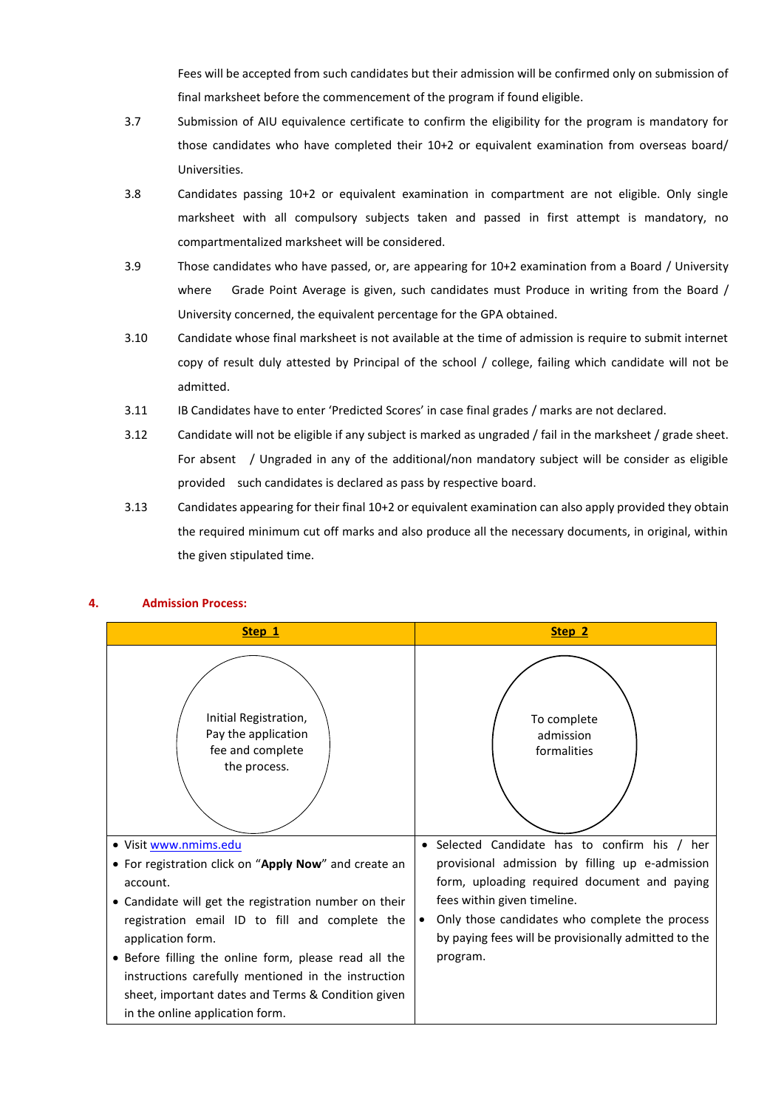Fees will be accepted from such candidates but their admission will be confirmed only on submission of final marksheet before the commencement of the program if found eligible.

- 3.7 Submission of AIU equivalence certificate to confirm the eligibility for the program is mandatory for those candidates who have completed their 10+2 or equivalent examination from overseas board/ Universities.
- 3.8 Candidates passing 10+2 or equivalent examination in compartment are not eligible. Only single marksheet with all compulsory subjects taken and passed in first attempt is mandatory, no compartmentalized marksheet will be considered.
- 3.9 Those candidates who have passed, or, are appearing for 10+2 examination from a Board / University where Grade Point Average is given, such candidates must Produce in writing from the Board / University concerned, the equivalent percentage for the GPA obtained.
- 3.10 Candidate whose final marksheet is not available at the time of admission is require to submit internet copy of result duly attested by Principal of the school / college, failing which candidate will not be admitted.
- 3.11 IB Candidates have to enter 'Predicted Scores' in case final grades / marks are not declared.
- 3.12 Candidate will not be eligible if any subject is marked as ungraded / fail in the marksheet / grade sheet. For absent / Ungraded in any of the additional/non mandatory subject will be consider as eligible provided such candidates is declared as pass by respective board.
- 3.13 Candidates appearing for their final 10+2 or equivalent examination can also apply provided they obtain the required minimum cut off marks and also produce all the necessary documents, in original, within the given stipulated time.



# **4. Admission Process:**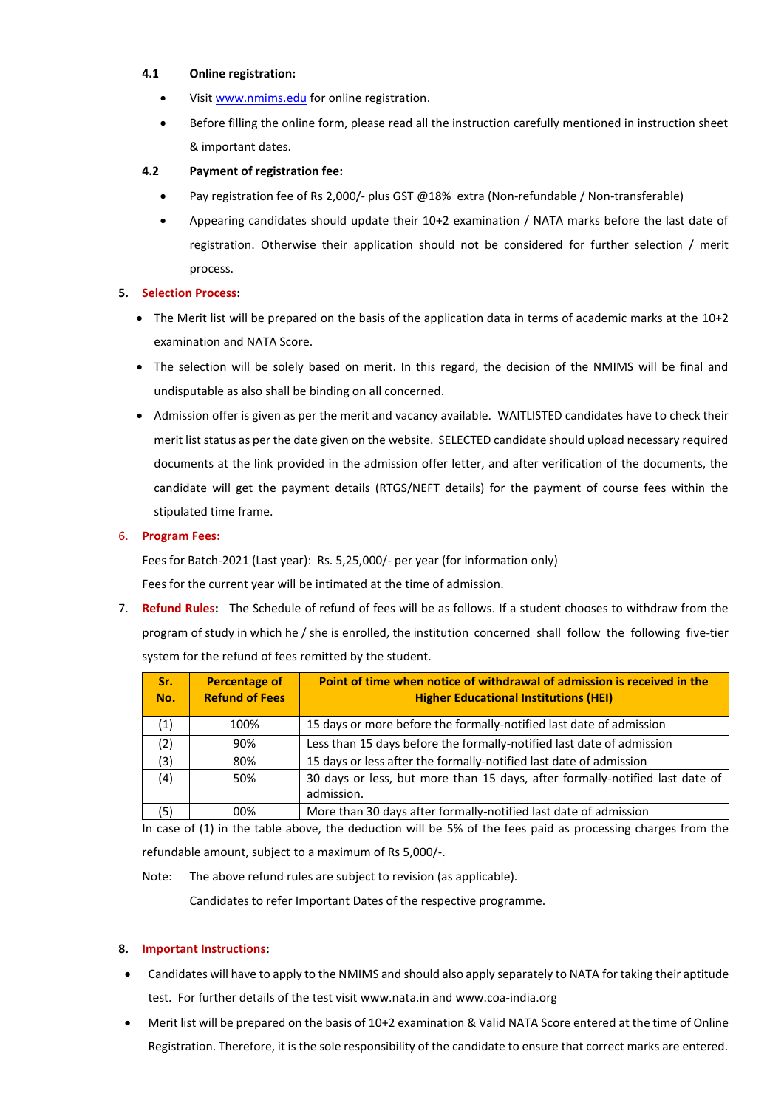#### **4.1 Online registration:**

- Visit [www.nmims.edu](http://www.nmims.edu/) for online registration.
- Before filling the online form, please read all the instruction carefully mentioned in instruction sheet & important dates.

# **4.2 Payment of registration fee:**

- Pay registration fee of Rs 2,000/- plus GST @18% extra (Non-refundable / Non-transferable)
- Appearing candidates should update their 10+2 examination / NATA marks before the last date of registration. Otherwise their application should not be considered for further selection / merit process.

# **5. Selection Process:**

- The Merit list will be prepared on the basis of the application data in terms of academic marks at the 10+2 examination and NATA Score.
- The selection will be solely based on merit. In this regard, the decision of the NMIMS will be final and undisputable as also shall be binding on all concerned.
- Admission offer is given as per the merit and vacancy available. WAITLISTED candidates have to check their merit list status as per the date given on the website. SELECTED candidate should upload necessary required documents at the link provided in the admission offer letter, and after verification of the documents, the candidate will get the payment details (RTGS/NEFT details) for the payment of course fees within the stipulated time frame.

# 6. **Program Fees:**

Fees for Batch-2021 (Last year): Rs. 5,25,000/- per year (for information only)

Fees for the current year will be intimated at the time of admission.

7. **Refund Rules:** The Schedule of refund of fees will be as follows. If a student chooses to withdraw from the program of study in which he / she is enrolled, the institution concerned shall follow the following five-tier system for the refund of fees remitted by the student.

| Sr.<br>No. | <b>Percentage of</b><br><b>Refund of Fees</b> | Point of time when notice of withdrawal of admission is received in the<br><b>Higher Educational Institutions (HEI)</b> |
|------------|-----------------------------------------------|-------------------------------------------------------------------------------------------------------------------------|
| (1)        | 100%                                          | 15 days or more before the formally-notified last date of admission                                                     |
| (2)        | 90%                                           | Less than 15 days before the formally-notified last date of admission                                                   |
| (3)        | 80%                                           | 15 days or less after the formally-notified last date of admission                                                      |
| (4)        | 50%                                           | 30 days or less, but more than 15 days, after formally-notified last date of<br>admission.                              |
| (5)        | 00%                                           | More than 30 days after formally-notified last date of admission                                                        |

In case of (1) in the table above, the deduction will be 5% of the fees paid as processing charges from the refundable amount, subject to a maximum of Rs 5,000/-.

Note: The above refund rules are subject to revision (as applicable).

Candidates to refer Important Dates of the respective programme.

# **8. Important Instructions:**

- Candidates will have to apply to the NMIMS and should also apply separately to NATA for taking their aptitude test. For further details of the test visit [www.nata.in](http://www.nata.in/) and [www.coa-india.org](http://www.coa-india.org/)
- Merit list will be prepared on the basis of 10+2 examination & Valid NATA Score entered at the time of Online Registration. Therefore, it is the sole responsibility of the candidate to ensure that correct marks are entered.